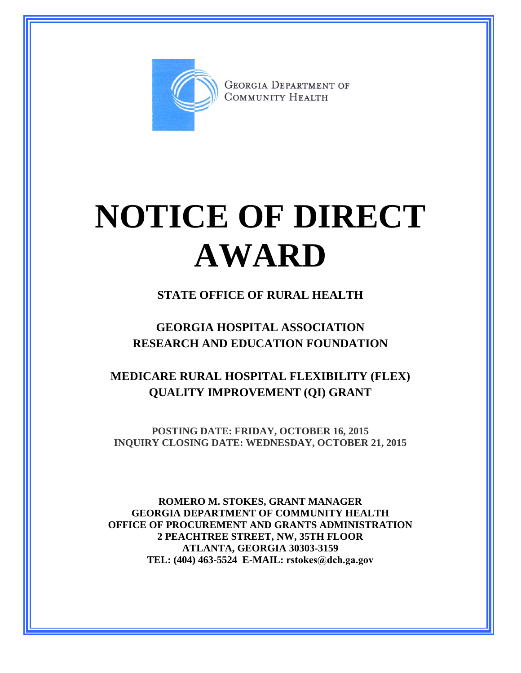

**GEORGIA DEPARTMENT OF** COMMUNITY HEALTH

# **NOTICE OF DIRECT AWARD**

## **STATE OFFICE OF RURAL HEALTH**

# **GEORGIA HOSPITAL ASSOCIATION RESEARCH AND EDUCATION FOUNDATION**

# **MEDICARE RURAL HOSPITAL FLEXIBILITY (FLEX) QUALITY IMPROVEMENT (QI) GRANT**

**POSTING DATE: FRIDAY, OCTOBER 16, 2015 INQUIRY CLOSING DATE: WEDNESDAY, OCTOBER 21, 2015**

**ROMERO M. STOKES, GRANT MANAGER GEORGIA DEPARTMENT OF COMMUNITY HEALTH OFFICE OF PROCUREMENT AND GRANTS ADMINISTRATION 2 PEACHTREE STREET, NW, 35TH FLOOR ATLANTA, GEORGIA 30303-3159 TEL: (404) 463-5524 E-MAIL: rstokes@dch.ga.gov**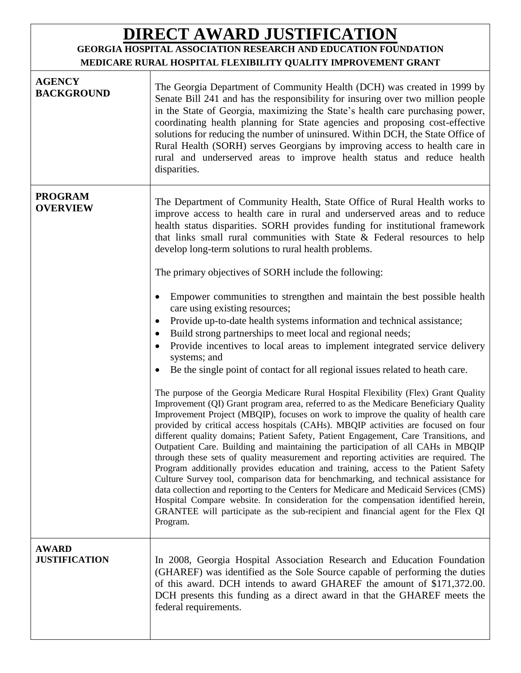# **DIRECT AWARD JUSTIFICATION**

## **GEORGIA HOSPITAL ASSOCIATION RESEARCH AND EDUCATION FOUNDATION MEDICARE RURAL HOSPITAL FLEXIBILITY QUALITY IMPROVEMENT GRANT**

| <b>AGENCY</b><br><b>BACKGROUND</b>   | The Georgia Department of Community Health (DCH) was created in 1999 by<br>Senate Bill 241 and has the responsibility for insuring over two million people<br>in the State of Georgia, maximizing the State's health care purchasing power,<br>coordinating health planning for State agencies and proposing cost-effective<br>solutions for reducing the number of uninsured. Within DCH, the State Office of<br>Rural Health (SORH) serves Georgians by improving access to health care in<br>rural and underserved areas to improve health status and reduce health<br>disparities.                                                                                                                                                                                                                                                                                                                                                                                                                                                                                                                                                                                                                                                                                                                                                                                                                                                                                                                                                                                                                                                                                                                                                                                                                                                                                                                                                                                                                                       |
|--------------------------------------|------------------------------------------------------------------------------------------------------------------------------------------------------------------------------------------------------------------------------------------------------------------------------------------------------------------------------------------------------------------------------------------------------------------------------------------------------------------------------------------------------------------------------------------------------------------------------------------------------------------------------------------------------------------------------------------------------------------------------------------------------------------------------------------------------------------------------------------------------------------------------------------------------------------------------------------------------------------------------------------------------------------------------------------------------------------------------------------------------------------------------------------------------------------------------------------------------------------------------------------------------------------------------------------------------------------------------------------------------------------------------------------------------------------------------------------------------------------------------------------------------------------------------------------------------------------------------------------------------------------------------------------------------------------------------------------------------------------------------------------------------------------------------------------------------------------------------------------------------------------------------------------------------------------------------------------------------------------------------------------------------------------------------|
| <b>PROGRAM</b><br><b>OVERVIEW</b>    | The Department of Community Health, State Office of Rural Health works to<br>improve access to health care in rural and underserved areas and to reduce<br>health status disparities. SORH provides funding for institutional framework<br>that links small rural communities with State $\&$ Federal resources to help<br>develop long-term solutions to rural health problems.<br>The primary objectives of SORH include the following:<br>Empower communities to strengthen and maintain the best possible health<br>$\bullet$<br>care using existing resources;<br>Provide up-to-date health systems information and technical assistance;<br>$\bullet$<br>Build strong partnerships to meet local and regional needs;<br>٠<br>Provide incentives to local areas to implement integrated service delivery<br>$\bullet$<br>systems; and<br>Be the single point of contact for all regional issues related to heath care.<br>٠<br>The purpose of the Georgia Medicare Rural Hospital Flexibility (Flex) Grant Quality<br>Improvement (QI) Grant program area, referred to as the Medicare Beneficiary Quality<br>Improvement Project (MBQIP), focuses on work to improve the quality of health care<br>provided by critical access hospitals (CAHs). MBQIP activities are focused on four<br>different quality domains; Patient Safety, Patient Engagement, Care Transitions, and<br>Outpatient Care. Building and maintaining the participation of all CAHs in MBQIP<br>through these sets of quality measurement and reporting activities are required. The<br>Program additionally provides education and training, access to the Patient Safety<br>Culture Survey tool, comparison data for benchmarking, and technical assistance for<br>data collection and reporting to the Centers for Medicare and Medicaid Services (CMS)<br>Hospital Compare website. In consideration for the compensation identified herein,<br>GRANTEE will participate as the sub-recipient and financial agent for the Flex QI<br>Program. |
| <b>AWARD</b><br><b>JUSTIFICATION</b> | In 2008, Georgia Hospital Association Research and Education Foundation<br>(GHAREF) was identified as the Sole Source capable of performing the duties<br>of this award. DCH intends to award GHAREF the amount of \$171,372.00.<br>DCH presents this funding as a direct award in that the GHAREF meets the<br>federal requirements.                                                                                                                                                                                                                                                                                                                                                                                                                                                                                                                                                                                                                                                                                                                                                                                                                                                                                                                                                                                                                                                                                                                                                                                                                                                                                                                                                                                                                                                                                                                                                                                                                                                                                        |